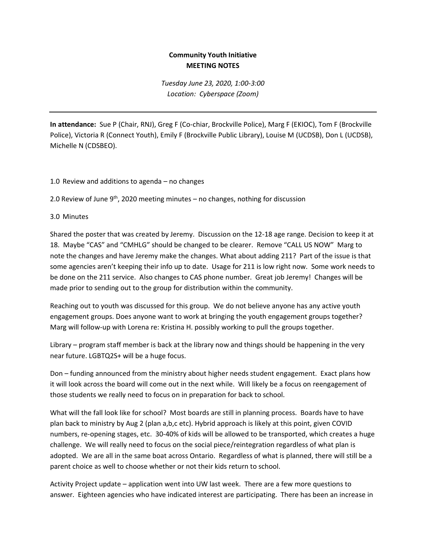## **Community Youth Initiative MEETING NOTES**

*Tuesday June 23, 2020, 1:00-3:00 Location: Cyberspace (Zoom)*

**In attendance:** Sue P (Chair, RNJ), Greg F (Co-chiar, Brockville Police), Marg F (EKIOC), Tom F (Brockville Police), Victoria R (Connect Youth), Emily F (Brockville Public Library), Louise M (UCDSB), Don L (UCDSB), Michelle N (CDSBEO).

## 1.0 Review and additions to agenda – no changes

2.0 Review of June  $9<sup>th</sup>$ , 2020 meeting minutes – no changes, nothing for discussion

## 3.0 Minutes

Shared the poster that was created by Jeremy. Discussion on the 12-18 age range. Decision to keep it at 18. Maybe "CAS" and "CMHLG" should be changed to be clearer. Remove "CALL US NOW" Marg to note the changes and have Jeremy make the changes. What about adding 211? Part of the issue is that some agencies aren't keeping their info up to date. Usage for 211 is low right now. Some work needs to be done on the 211 service. Also changes to CAS phone number. Great job Jeremy! Changes will be made prior to sending out to the group for distribution within the community.

Reaching out to youth was discussed for this group. We do not believe anyone has any active youth engagement groups. Does anyone want to work at bringing the youth engagement groups together? Marg will follow-up with Lorena re: Kristina H. possibly working to pull the groups together.

Library – program staff member is back at the library now and things should be happening in the very near future. LGBTQ2S+ will be a huge focus.

Don – funding announced from the ministry about higher needs student engagement. Exact plans how it will look across the board will come out in the next while. Will likely be a focus on reengagement of those students we really need to focus on in preparation for back to school.

What will the fall look like for school? Most boards are still in planning process. Boards have to have plan back to ministry by Aug 2 (plan a,b,c etc). Hybrid approach is likely at this point, given COVID numbers, re-opening stages, etc. 30-40% of kids will be allowed to be transported, which creates a huge challenge. We will really need to focus on the social piece/reintegration regardless of what plan is adopted. We are all in the same boat across Ontario. Regardless of what is planned, there will still be a parent choice as well to choose whether or not their kids return to school.

Activity Project update – application went into UW last week. There are a few more questions to answer. Eighteen agencies who have indicated interest are participating. There has been an increase in